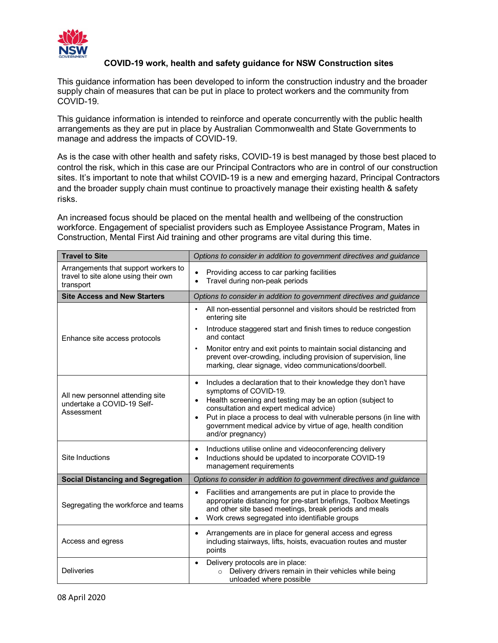

## **COVID-19 work, health and safety guidance for NSW Construction sites**

This guidance information has been developed to inform the construction industry and the broader supply chain of measures that can be put in place to protect workers and the community from COVID-19.

This guidance information is intended to reinforce and operate concurrently with the public health arrangements as they are put in place by Australian Commonwealth and State Governments to manage and address the impacts of COVID-19.

As is the case with other health and safety risks, COVID-19 is best managed by those best placed to control the risk, which in this case are our Principal Contractors who are in control of our construction sites. It's important to note that whilst COVID-19 is a new and emerging hazard, Principal Contractors and the broader supply chain must continue to proactively manage their existing health & safety risks.

An increased focus should be placed on the mental health and wellbeing of the construction workforce. Engagement of specialist providers such as Employee Assistance Program, Mates in Construction, Mental First Aid training and other programs are vital during this time.

| <b>Travel to Site</b>                                                                     | Options to consider in addition to government directives and guidance                                                                                                                                                                                                                                                                                                                               |
|-------------------------------------------------------------------------------------------|-----------------------------------------------------------------------------------------------------------------------------------------------------------------------------------------------------------------------------------------------------------------------------------------------------------------------------------------------------------------------------------------------------|
| Arrangements that support workers to<br>travel to site alone using their own<br>transport | Providing access to car parking facilities<br>Travel during non-peak periods                                                                                                                                                                                                                                                                                                                        |
| <b>Site Access and New Starters</b>                                                       | Options to consider in addition to government directives and guidance                                                                                                                                                                                                                                                                                                                               |
| Enhance site access protocols                                                             | All non-essential personnel and visitors should be restricted from<br>entering site<br>Introduce staggered start and finish times to reduce congestion<br>$\bullet$<br>and contact<br>Monitor entry and exit points to maintain social distancing and<br>$\bullet$<br>prevent over-crowding, including provision of supervision, line<br>marking, clear signage, video communications/doorbell.     |
| All new personnel attending site<br>undertake a COVID-19 Self-<br>Assessment              | Includes a declaration that to their knowledge they don't have<br>$\bullet$<br>symptoms of COVID-19.<br>Health screening and testing may be an option (subject to<br>$\bullet$<br>consultation and expert medical advice)<br>Put in place a process to deal with vulnerable persons (in line with<br>$\bullet$<br>government medical advice by virtue of age, health condition<br>and/or pregnancy) |
| Site Inductions                                                                           | Inductions utilise online and videoconferencing delivery<br>$\bullet$<br>Inductions should be updated to incorporate COVID-19<br>$\bullet$<br>management requirements                                                                                                                                                                                                                               |
| <b>Social Distancing and Segregation</b>                                                  | Options to consider in addition to government directives and guidance                                                                                                                                                                                                                                                                                                                               |
| Segregating the workforce and teams                                                       | Facilities and arrangements are put in place to provide the<br>$\bullet$<br>appropriate distancing for pre-start briefings, Toolbox Meetings<br>and other site based meetings, break periods and meals<br>Work crews segregated into identifiable groups                                                                                                                                            |
| Access and egress                                                                         | Arrangements are in place for general access and egress<br>including stairways, lifts, hoists, evacuation routes and muster<br>points                                                                                                                                                                                                                                                               |
| <b>Deliveries</b>                                                                         | Delivery protocols are in place:<br>$\bullet$<br>Delivery drivers remain in their vehicles while being<br>unloaded where possible                                                                                                                                                                                                                                                                   |